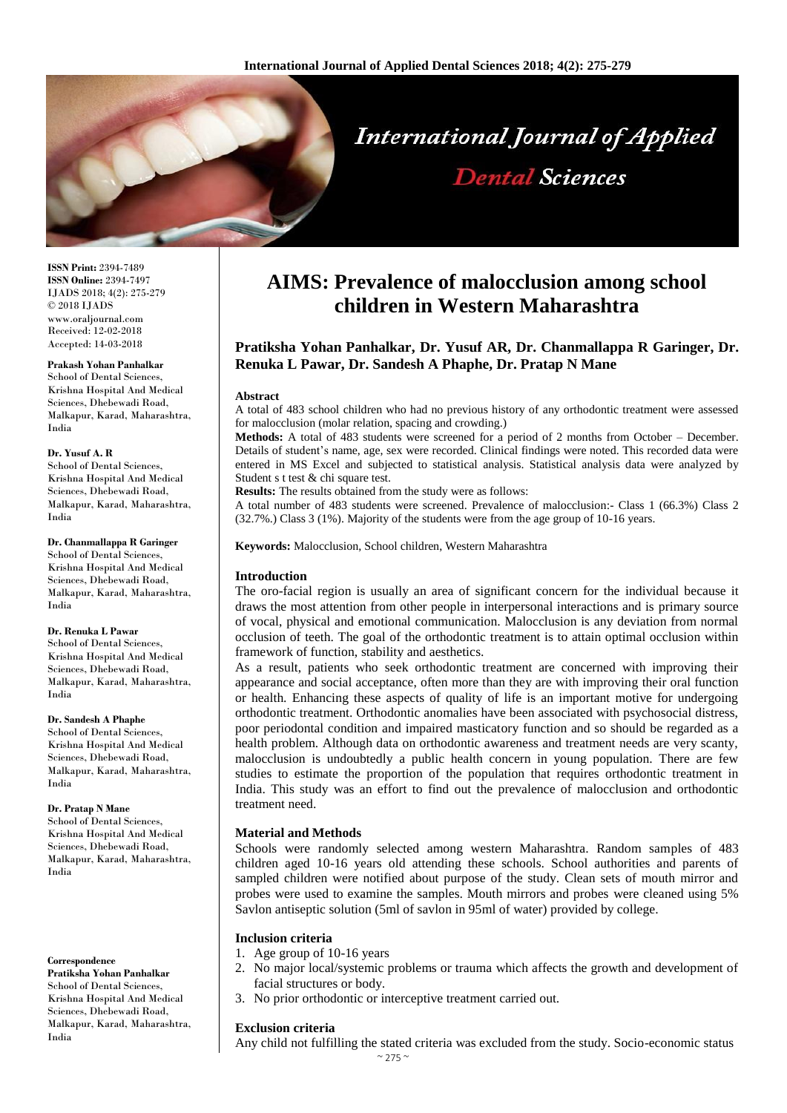

**ISSN Print:** 2394-7489 **ISSN Online:** 2394-7497 IJADS 2018; 4(2): 275-279 © 2018 IJADS www.oraljournal.com Received: 12-02-2018 Accepted: 14-03-2018

#### **Prakash Yohan Panhalkar**

School of Dental Sciences, Krishna Hospital And Medical Sciences, Dhebewadi Road, Malkapur, Karad, Maharashtra, India

#### **Dr. Yusuf A. R**

School of Dental Sciences, Krishna Hospital And Medical Sciences, Dhebewadi Road, Malkapur, Karad, Maharashtra, India

## **Dr. Chanmallappa R Garinger**

School of Dental Sciences, Krishna Hospital And Medical Sciences, Dhebewadi Road, Malkapur, Karad, Maharashtra, India

## **Dr. Renuka L Pawar**

School of Dental Sciences, Krishna Hospital And Medical Sciences, Dhebewadi Road, Malkapur, Karad, Maharashtra, India

## **Dr. Sandesh A Phaphe**

School of Dental Sciences. Krishna Hospital And Medical Sciences, Dhebewadi Road, Malkapur, Karad, Maharashtra, India

#### **Dr. Pratap N Mane**

School of Dental Sciences Krishna Hospital And Medical Sciences, Dhebewadi Road, Malkapur, Karad, Maharashtra, India

#### **Correspondence**

**Pratiksha Yohan Panhalkar** School of Dental Sciences, Krishna Hospital And Medical Sciences, Dhebewadi Road, Malkapur, Karad, Maharashtra, India

# **AIMS: Prevalence of malocclusion among school children in Western Maharashtra**

# **Pratiksha Yohan Panhalkar, Dr. Yusuf AR, Dr. Chanmallappa R Garinger, Dr. Renuka L Pawar, Dr. Sandesh A Phaphe, Dr. Pratap N Mane**

## **Abstract**

A total of 483 school children who had no previous history of any orthodontic treatment were assessed for malocclusion (molar relation, spacing and crowding.)

**Methods:** A total of 483 students were screened for a period of 2 months from October – December. Details of student's name, age, sex were recorded. Clinical findings were noted. This recorded data were entered in MS Excel and subjected to statistical analysis. Statistical analysis data were analyzed by Student s t test & chi square test.

**Results:** The results obtained from the study were as follows:

A total number of 483 students were screened. Prevalence of malocclusion:- Class 1 (66.3%) Class 2 (32.7%.) Class 3 (1%). Majority of the students were from the age group of 10-16 years.

**Keywords:** Malocclusion, School children, Western Maharashtra

# **Introduction**

The oro-facial region is usually an area of significant concern for the individual because it draws the most attention from other people in interpersonal interactions and is primary source of vocal, physical and emotional communication. Malocclusion is any deviation from normal occlusion of teeth. The goal of the orthodontic treatment is to attain optimal occlusion within framework of function, stability and aesthetics.

As a result, patients who seek orthodontic treatment are concerned with improving their appearance and social acceptance, often more than they are with improving their oral function or health. Enhancing these aspects of quality of life is an important motive for undergoing orthodontic treatment. Orthodontic anomalies have been associated with psychosocial distress, poor periodontal condition and impaired masticatory function and so should be regarded as a health problem. Although data on orthodontic awareness and treatment needs are very scanty, malocclusion is undoubtedly a public health concern in young population. There are few studies to estimate the proportion of the population that requires orthodontic treatment in India. This study was an effort to find out the prevalence of malocclusion and orthodontic treatment need.

## **Material and Methods**

Schools were randomly selected among western Maharashtra. Random samples of 483 children aged 10-16 years old attending these schools. School authorities and parents of sampled children were notified about purpose of the study. Clean sets of mouth mirror and probes were used to examine the samples. Mouth mirrors and probes were cleaned using 5% Savlon antiseptic solution (5ml of savlon in 95ml of water) provided by college.

## **Inclusion criteria**

- 1. Age group of 10-16 years
- 2. No major local/systemic problems or trauma which affects the growth and development of facial structures or body.
- 3. No prior orthodontic or interceptive treatment carried out.

## **Exclusion criteria**

Any child not fulfilling the stated criteria was excluded from the study. Socio-economic status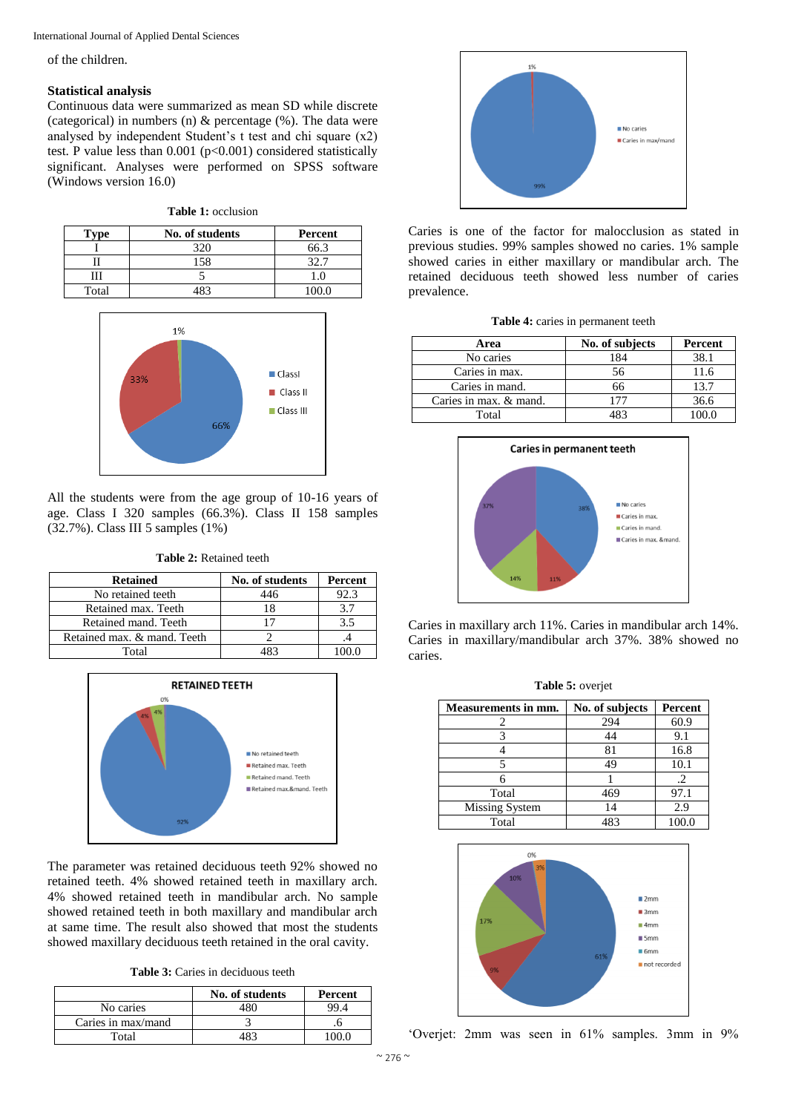International Journal of Applied Dental Sciences

of the children.

# **Statistical analysis**

Continuous data were summarized as mean SD while discrete (categorical) in numbers (n) & percentage (%). The data were analysed by independent Student's t test and chi square (x2) test. P value less than  $0.001$  ( $p<0.001$ ) considered statistically significant. Analyses were performed on SPSS software (Windows version 16.0)

|  |  | <b>Table 1:</b> occlusion |
|--|--|---------------------------|
|--|--|---------------------------|

| Tvpe  | No. of students | Percent |
|-------|-----------------|---------|
|       | 320             | 66.3    |
|       |                 |         |
|       |                 |         |
| Total |                 |         |



All the students were from the age group of 10-16 years of age. Class I 320 samples (66.3%). Class II 158 samples (32.7%). Class III 5 samples (1%)

# **Table 2:** Retained teeth

| <b>Retained</b>             | No. of students | Percent |
|-----------------------------|-----------------|---------|
| No retained teeth           | 446             | 92.3    |
| Retained max. Teeth         |                 | 37      |
| Retained mand. Teeth        |                 | 3.5     |
| Retained max. & mand. Teeth |                 |         |
| Total                       |                 |         |



The parameter was retained deciduous teeth 92% showed no retained teeth. 4% showed retained teeth in maxillary arch. 4% showed retained teeth in mandibular arch. No sample showed retained teeth in both maxillary and mandibular arch at same time. The result also showed that most the students showed maxillary deciduous teeth retained in the oral cavity.

**Table 3:** Caries in deciduous teeth

|                    | No. of students | Percent |
|--------------------|-----------------|---------|
| No caries          | 181             | 99.4    |
| Caries in max/mand |                 |         |
| Total              |                 | 1 በበ በ  |



Caries is one of the factor for malocclusion as stated in previous studies. 99% samples showed no caries. 1% sample showed caries in either maxillary or mandibular arch. The retained deciduous teeth showed less number of caries prevalence.

|  | <b>Table 4:</b> caries in permanent teeth |  |
|--|-------------------------------------------|--|
|  |                                           |  |

| Area                   | No. of subjects | Percent |
|------------------------|-----------------|---------|
| No caries              | 184             | 38.1    |
| Caries in max.         | 56              | 11.6    |
| Caries in mand.        |                 | 13.7    |
| Caries in max. & mand. |                 | 36.6    |
| Total                  | 183             | 000     |



Caries in maxillary arch 11%. Caries in mandibular arch 14%. Caries in maxillary/mandibular arch 37%. 38% showed no caries.

| Table 5: overjet |
|------------------|
|------------------|

| <b>Measurements in mm.</b> | No. of subjects | Percent |
|----------------------------|-----------------|---------|
|                            | 294             | 60.9    |
|                            | 44              | 9.1     |
|                            | 81              | 16.8    |
|                            | 49              | 10.1    |
|                            |                 | .2      |
| Total                      | 469             | 97.1    |
| <b>Missing System</b>      | 14              | 2.9     |
| Total                      | 183             | 100.0   |



'Overjet: 2mm was seen in 61% samples. 3mm in 9%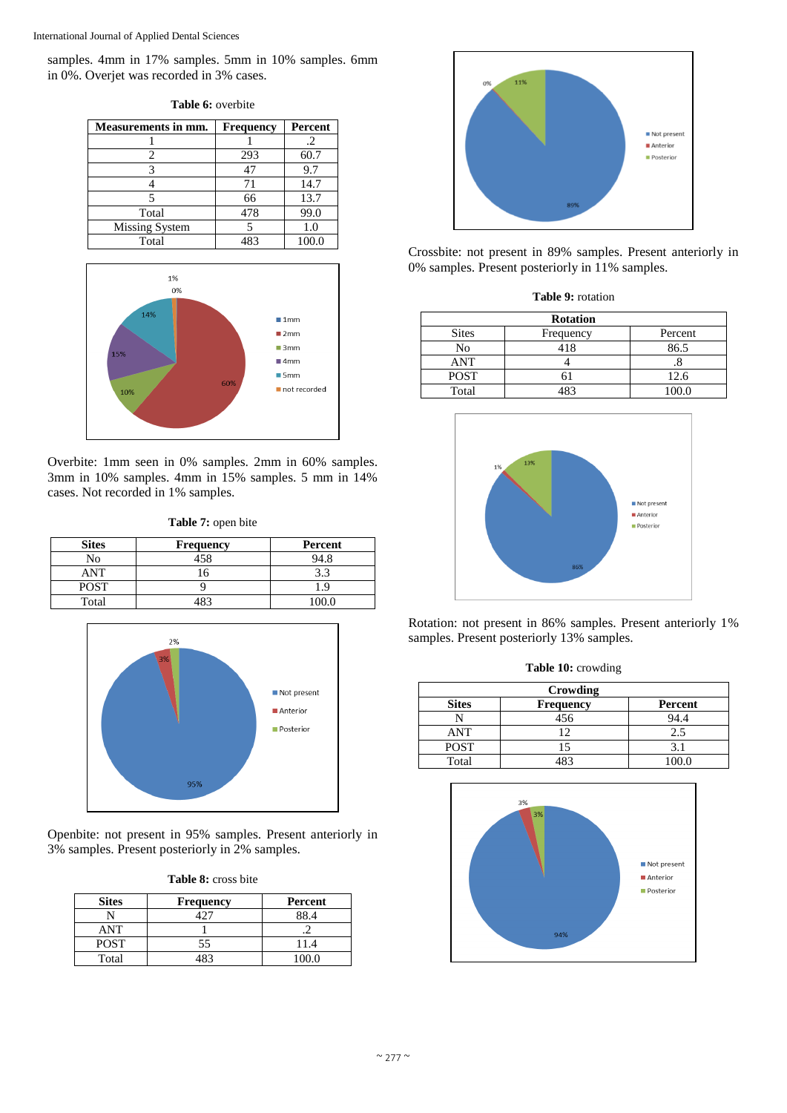samples. 4mm in 17% samples. 5mm in 10% samples. 6mm in 0%. Overjet was recorded in 3% cases.

| <b>Measurements in mm.</b> | <b>Frequency</b> | Percent |
|----------------------------|------------------|---------|
|                            |                  | .2      |
| 2                          | 293              | 60.7    |
| 3                          | 47               | 9.7     |
|                            | 71               | 14.7    |
|                            | 66               | 13.7    |
| Total                      | 478              | 99.0    |
| <b>Missing System</b>      |                  | 1.0     |
| Total                      |                  | 100.0   |





Overbite: 1mm seen in 0% samples. 2mm in 60% samples. 3mm in 10% samples. 4mm in 15% samples. 5 mm in 14% cases. Not recorded in 1% samples.

| <b>Table 7:</b> open bite |  |  |
|---------------------------|--|--|
|                           |  |  |

| <b>Sites</b> | <b>Frequency</b> | Percent |
|--------------|------------------|---------|
| No           | 458              | 94.8    |
| ANT          |                  | 3.3     |
| <b>POST</b>  |                  | 19      |
| Total        | 183              |         |



Openbite: not present in 95% samples. Present anteriorly in 3% samples. Present posteriorly in 2% samples.

| <b>Sites</b> | <b>Frequency</b> | Percent |
|--------------|------------------|---------|
|              |                  |         |
| ANT          |                  |         |
| <b>POST</b>  | 55               |         |
| Total        |                  | 100.0   |



Crossbite: not present in 89% samples. Present anteriorly in 0% samples. Present posteriorly in 11% samples.

**Table 9:** rotation

| <b>Rotation</b> |                |         |
|-----------------|----------------|---------|
| <b>Sites</b>    | Frequency      | Percent |
| No              | 418            | 86.5    |
| ANT             |                |         |
| <b>POST</b>     |                | 12.6    |
| Total           | Q <sub>2</sub> | 100.0   |



Rotation: not present in 86% samples. Present anteriorly 1% samples. Present posteriorly 13% samples.

| Table 10: crowding |  |  |  |
|--------------------|--|--|--|
|--------------------|--|--|--|

| Crowding     |                  |         |
|--------------|------------------|---------|
| <b>Sites</b> | <b>Frequency</b> | Percent |
|              | 456              | 94.4    |
| ANT          |                  | 2.5     |
| <b>POST</b>  |                  | 31      |
| Total        |                  |         |

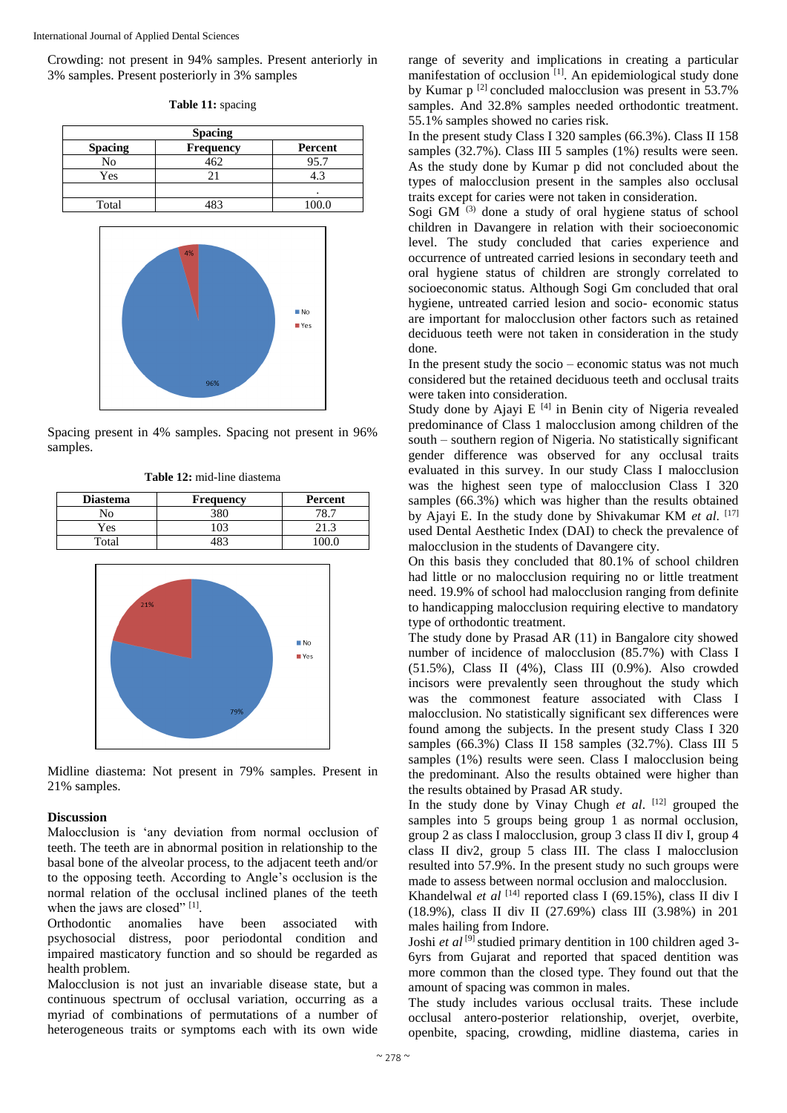Crowding: not present in 94% samples. Present anteriorly in 3% samples. Present posteriorly in 3% samples

| <b>Spacing</b> |                  |         |
|----------------|------------------|---------|
| <b>Spacing</b> | <b>Frequency</b> | Percent |
| No             | 462              | 95.7    |
| Yes            |                  |         |
|                |                  | ۰       |
| Total          |                  | 100.0   |

**Table 11:** spacing



Spacing present in 4% samples. Spacing not present in 96% samples.

**Table 12:** mid-line diastema

| <b>Diastema</b> | <b>Frequency</b> | Percent |
|-----------------|------------------|---------|
| No              |                  |         |
| Yes             |                  |         |
| Total           |                  |         |



Midline diastema: Not present in 79% samples. Present in 21% samples.

# **Discussion**

Malocclusion is 'any deviation from normal occlusion of teeth. The teeth are in abnormal position in relationship to the basal bone of the alveolar process, to the adjacent teeth and/or to the opposing teeth. According to Angle's occlusion is the normal relation of the occlusal inclined planes of the teeth when the jaws are closed"  $[1]$ .

Orthodontic anomalies have been associated with psychosocial distress, poor periodontal condition and impaired masticatory function and so should be regarded as health problem.

Malocclusion is not just an invariable disease state, but a continuous spectrum of occlusal variation, occurring as a myriad of combinations of permutations of a number of heterogeneous traits or symptoms each with its own wide range of severity and implications in creating a particular manifestation of occlusion [1]. An epidemiological study done by Kumar p<sup>[2]</sup> concluded malocclusion was present in 53.7% samples. And 32.8% samples needed orthodontic treatment. 55.1% samples showed no caries risk.

In the present study Class I 320 samples (66.3%). Class II 158 samples (32.7%). Class III 5 samples (1%) results were seen. As the study done by Kumar p did not concluded about the types of malocclusion present in the samples also occlusal traits except for caries were not taken in consideration.

Sogi GM $<sup>(3)</sup>$  done a study of oral hygiene status of school</sup> children in Davangere in relation with their socioeconomic level. The study concluded that caries experience and occurrence of untreated carried lesions in secondary teeth and oral hygiene status of children are strongly correlated to socioeconomic status. Although Sogi Gm concluded that oral hygiene, untreated carried lesion and socio- economic status are important for malocclusion other factors such as retained deciduous teeth were not taken in consideration in the study done.

In the present study the socio – economic status was not much considered but the retained deciduous teeth and occlusal traits were taken into consideration.

Study done by Ajayi E<sup>[4]</sup> in Benin city of Nigeria revealed predominance of Class 1 malocclusion among children of the south – southern region of Nigeria. No statistically significant gender difference was observed for any occlusal traits evaluated in this survey. In our study Class I malocclusion was the highest seen type of malocclusion Class I 320 samples (66.3%) which was higher than the results obtained by Ajayi E. In the study done by Shivakumar KM *et al*. [17] used Dental Aesthetic Index (DAI) to check the prevalence of malocclusion in the students of Davangere city.

On this basis they concluded that 80.1% of school children had little or no malocclusion requiring no or little treatment need. 19.9% of school had malocclusion ranging from definite to handicapping malocclusion requiring elective to mandatory type of orthodontic treatment.

The study done by Prasad AR (11) in Bangalore city showed number of incidence of malocclusion (85.7%) with Class I (51.5%), Class II (4%), Class III (0.9%). Also crowded incisors were prevalently seen throughout the study which was the commonest feature associated with Class I malocclusion. No statistically significant sex differences were found among the subjects. In the present study Class I 320 samples (66.3%) Class II 158 samples (32.7%). Class III 5 samples (1%) results were seen. Class I malocclusion being the predominant. Also the results obtained were higher than the results obtained by Prasad AR study.

In the study done by Vinay Chugh *et al*. [12] grouped the samples into 5 groups being group 1 as normal occlusion, group 2 as class I malocclusion, group 3 class II div I, group 4 class II div2, group 5 class III. The class I malocclusion resulted into 57.9%. In the present study no such groups were made to assess between normal occlusion and malocclusion.

Khandelwal *et al* <sup>[14]</sup> reported class I (69.15%), class II div I (18.9%), class II div II (27.69%) class III (3.98%) in 201 males hailing from Indore.

Joshi *et al* [9] studied primary dentition in 100 children aged 3- 6yrs from Gujarat and reported that spaced dentition was more common than the closed type. They found out that the amount of spacing was common in males.

The study includes various occlusal traits. These include occlusal antero-posterior relationship, overjet, overbite, openbite, spacing, crowding, midline diastema, caries in